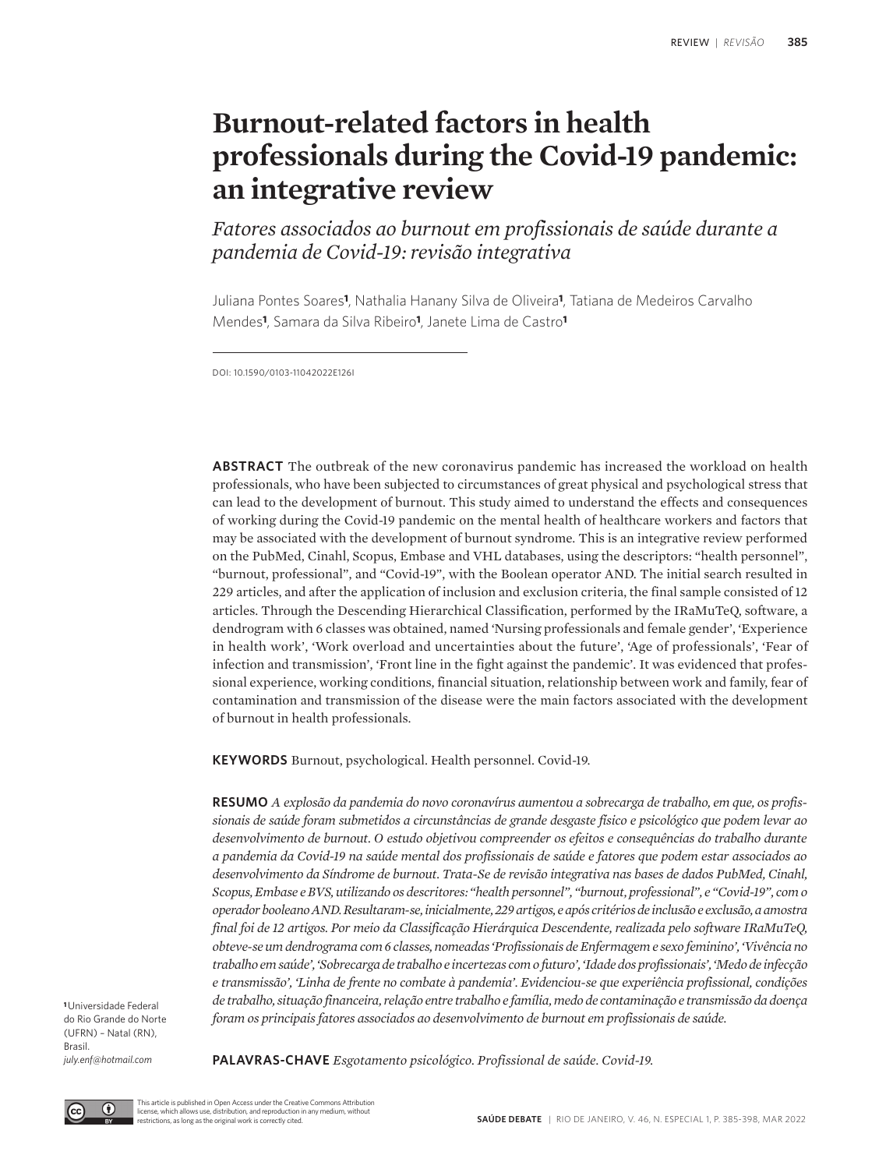# **Burnout-related factors in health professionals during the Covid-19 pandemic: an integrative review**

*Fatores associados ao burnout em profissionais de saúde durante a pandemia de Covid-19: revisão integrativa*

Juliana Pontes Soares**1**, Nathalia Hanany Silva de Oliveira**1**, Tatiana de Medeiros Carvalho Mendes**1**, Samara da Silva Ribeiro**1**, Janete Lima de Castro**<sup>1</sup>**

DOI: 10.1590/0103-11042022E126I

**ABSTRACT** The outbreak of the new coronavirus pandemic has increased the workload on health professionals, who have been subjected to circumstances of great physical and psychological stress that can lead to the development of burnout. This study aimed to understand the effects and consequences of working during the Covid-19 pandemic on the mental health of healthcare workers and factors that may be associated with the development of burnout syndrome. This is an integrative review performed on the PubMed, Cinahl, Scopus, Embase and VHL databases, using the descriptors: "health personnel", "burnout, professional", and "Covid-19", with the Boolean operator AND. The initial search resulted in 229 articles, and after the application of inclusion and exclusion criteria, the final sample consisted of 12 articles. Through the Descending Hierarchical Classification, performed by the IRaMuTeQ, software, a dendrogram with 6 classes was obtained, named 'Nursing professionals and female gender', 'Experience in health work', 'Work overload and uncertainties about the future', 'Age of professionals', 'Fear of infection and transmission', 'Front line in the fight against the pandemic'. It was evidenced that professional experience, working conditions, financial situation, relationship between work and family, fear of contamination and transmission of the disease were the main factors associated with the development of burnout in health professionals.

**KEYWORDS** Burnout, psychological. Health personnel. Covid-19.

**RESUMO** *A explosão da pandemia do novo coronavírus aumentou a sobrecarga de trabalho, em que, os profissionais de saúde foram submetidos a circunstâncias de grande desgaste físico e psicológico que podem levar ao desenvolvimento de burnout. O estudo objetivou compreender os efeitos e consequências do trabalho durante a pandemia da Covid-19 na saúde mental dos profissionais de saúde e fatores que podem estar associados ao desenvolvimento da Síndrome de burnout. Trata-Se de revisão integrativa nas bases de dados PubMed, Cinahl, Scopus, Embase e BVS, utilizando os descritores: "health personnel", "burnout, professional", e "Covid-19", com o operador booleano AND. Resultaram-se, inicialmente, 229 artigos, e após critérios de inclusão e exclusão, a amostra final foi de 12 artigos. Por meio da Classificação Hierárquica Descendente, realizada pelo software IRaMuTeQ, obteve-se um dendrograma com 6 classes, nomeadas 'Profissionais de Enfermagem e sexo feminino', 'Vivência no trabalho em saúde', 'Sobrecarga de trabalho e incertezas com o futuro', 'Idade dos profissionais', 'Medo de infecção e transmissão', 'Linha de frente no combate à pandemia'. Evidenciou-se que experiência profissional, condições de trabalho, situação financeira, relação entre trabalho e família, medo de contaminação e transmissão da doença foram os principais fatores associados ao desenvolvimento de burnout em profissionais de saúde.*

**<sup>1</sup>**Universidade Federal do Rio Grande do Norte (UFRN) – Natal (RN), Brasil. *july.enf@hotmail.com*

**PALAVRAS-CHAVE** *Esgotamento psicológico. Profissional de saúde. Covid-19.*

 $\bigcirc$ 

This article is published in Open Access under the Creative Commons Attribution license, which allows use, distribution, and reproduction in any medium, without restrictions, as long as the original work is correctly cited.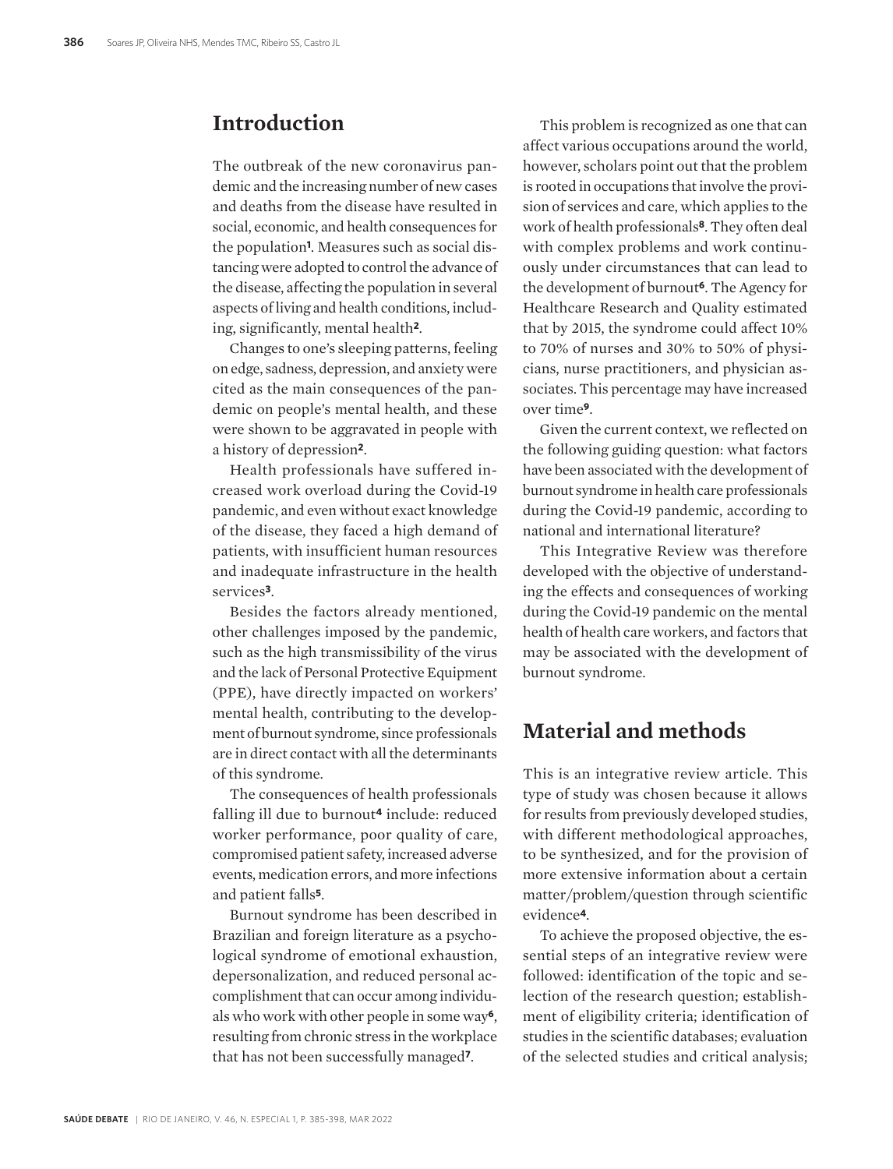# **Introduction**

The outbreak of the new coronavirus pandemic and the increasing number of new cases and deaths from the disease have resulted in social, economic, and health consequences for the population**1**. Measures such as social distancing were adopted to control the advance of the disease, affecting the population in several aspects of living and health conditions, including, significantly, mental health**2**.

Changes to one's sleeping patterns, feeling on edge, sadness, depression, and anxiety were cited as the main consequences of the pandemic on people's mental health, and these were shown to be aggravated in people with a history of depression**2**.

Health professionals have suffered increased work overload during the Covid-19 pandemic, and even without exact knowledge of the disease, they faced a high demand of patients, with insufficient human resources and inadequate infrastructure in the health services**3**.

Besides the factors already mentioned, other challenges imposed by the pandemic, such as the high transmissibility of the virus and the lack of Personal Protective Equipment (PPE), have directly impacted on workers' mental health, contributing to the development of burnout syndrome, since professionals are in direct contact with all the determinants of this syndrome.

The consequences of health professionals falling ill due to burnout**4** include: reduced worker performance, poor quality of care, compromised patient safety, increased adverse events, medication errors, and more infections and patient falls**5**.

Burnout syndrome has been described in Brazilian and foreign literature as a psychological syndrome of emotional exhaustion, depersonalization, and reduced personal accomplishment that can occur among individuals who work with other people in some way**6**, resulting from chronic stress in the workplace that has not been successfully managed**7**.

This problem is recognized as one that can affect various occupations around the world, however, scholars point out that the problem is rooted in occupations that involve the provision of services and care, which applies to the work of health professionals**8**. They often deal with complex problems and work continuously under circumstances that can lead to the development of burnout**6**. The Agency for Healthcare Research and Quality estimated that by 2015, the syndrome could affect 10% to 70% of nurses and 30% to 50% of physicians, nurse practitioners, and physician associates. This percentage may have increased over time**9**.

Given the current context, we reflected on the following guiding question: what factors have been associated with the development of burnout syndrome in health care professionals during the Covid-19 pandemic, according to national and international literature?

This Integrative Review was therefore developed with the objective of understanding the effects and consequences of working during the Covid-19 pandemic on the mental health of health care workers, and factors that may be associated with the development of burnout syndrome.

# **Material and methods**

This is an integrative review article. This type of study was chosen because it allows for results from previously developed studies, with different methodological approaches, to be synthesized, and for the provision of more extensive information about a certain matter/problem/question through scientific evidence**4**.

To achieve the proposed objective, the essential steps of an integrative review were followed: identification of the topic and selection of the research question; establishment of eligibility criteria; identification of studies in the scientific databases; evaluation of the selected studies and critical analysis;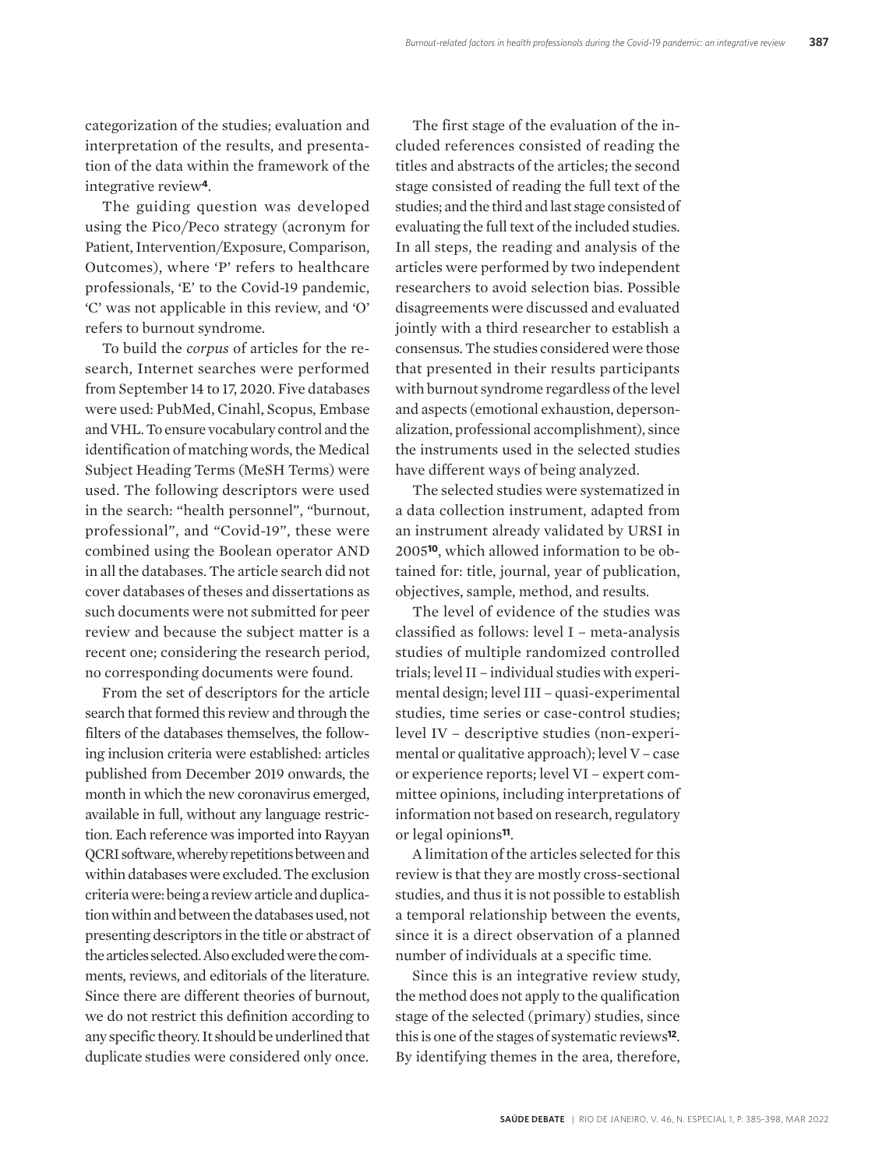categorization of the studies; evaluation and interpretation of the results, and presentation of the data within the framework of the integrative review**4**.

The guiding question was developed using the Pico/Peco strategy (acronym for Patient, Intervention/Exposure, Comparison, Outcomes), where 'P' refers to healthcare professionals, 'E' to the Covid-19 pandemic, 'C' was not applicable in this review, and 'O' refers to burnout syndrome.

To build the *corpus* of articles for the research, Internet searches were performed from September 14 to 17, 2020. Five databases were used: PubMed, Cinahl, Scopus, Embase and VHL. To ensure vocabulary control and the identification of matching words, the Medical Subject Heading Terms (MeSH Terms) were used. The following descriptors were used in the search: "health personnel", "burnout, professional", and "Covid-19", these were combined using the Boolean operator AND in all the databases. The article search did not cover databases of theses and dissertations as such documents were not submitted for peer review and because the subject matter is a recent one; considering the research period, no corresponding documents were found.

From the set of descriptors for the article search that formed this review and through the filters of the databases themselves, the following inclusion criteria were established: articles published from December 2019 onwards, the month in which the new coronavirus emerged, available in full, without any language restriction. Each reference was imported into Rayyan QCRI software, whereby repetitions between and within databases were excluded. The exclusion criteria were: being a review article and duplication within and between the databases used, not presenting descriptors in the title or abstract of the articles selected. Also excluded were the comments, reviews, and editorials of the literature. Since there are different theories of burnout, we do not restrict this definition according to any specific theory. It should be underlined that duplicate studies were considered only once.

The first stage of the evaluation of the included references consisted of reading the titles and abstracts of the articles; the second stage consisted of reading the full text of the studies; and the third and last stage consisted of evaluating the full text of the included studies. In all steps, the reading and analysis of the articles were performed by two independent researchers to avoid selection bias. Possible disagreements were discussed and evaluated jointly with a third researcher to establish a consensus. The studies considered were those that presented in their results participants with burnout syndrome regardless of the level and aspects (emotional exhaustion, depersonalization, professional accomplishment), since the instruments used in the selected studies have different ways of being analyzed.

The selected studies were systematized in a data collection instrument, adapted from an instrument already validated by URSI in 2005**10**, which allowed information to be obtained for: title, journal, year of publication, objectives, sample, method, and results.

The level of evidence of the studies was classified as follows: level I – meta-analysis studies of multiple randomized controlled trials; level II – individual studies with experimental design; level III – quasi-experimental studies, time series or case-control studies; level IV – descriptive studies (non-experimental or qualitative approach); level V – case or experience reports; level VI – expert committee opinions, including interpretations of information not based on research, regulatory or legal opinions**11**.

A limitation of the articles selected for this review is that they are mostly cross-sectional studies, and thus it is not possible to establish a temporal relationship between the events, since it is a direct observation of a planned number of individuals at a specific time.

Since this is an integrative review study, the method does not apply to the qualification stage of the selected (primary) studies, since this is one of the stages of systematic reviews**12**. By identifying themes in the area, therefore,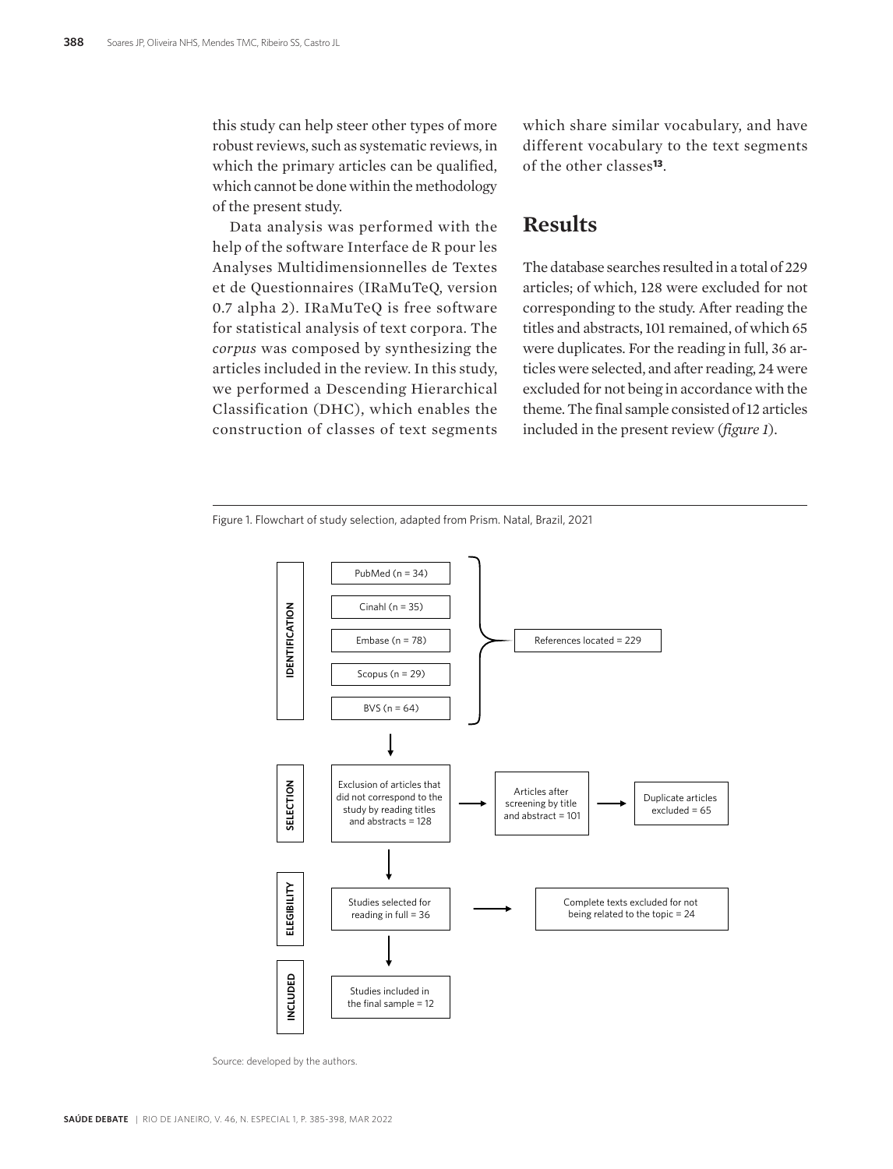this study can help steer other types of more robust reviews, such as systematic reviews, in which the primary articles can be qualified, which cannot be done within the methodology of the present study.

Data analysis was performed with the help of the software Interface de R pour les Analyses Multidimensionnelles de Textes et de Questionnaires (IRaMuTeQ, version 0.7 alpha 2). IRaMuTeQ is free software for statistical analysis of text corpora. The *corpus* was composed by synthesizing the articles included in the review. In this study, we performed a Descending Hierarchical Classification (DHC), which enables the construction of classes of text segments which share similar vocabulary, and have different vocabulary to the text segments of the other classes**13**.

### **Results**

The database searches resulted in a total of 229 articles; of which, 128 were excluded for not corresponding to the study. After reading the titles and abstracts, 101 remained, of which 65 were duplicates. For the reading in full, 36 articles were selected, and after reading, 24 were excluded for not being in accordance with the theme. The final sample consisted of 12 articles included in the present review (*figure 1*).



Figure 1. Flowchart of study selection, adapted from Prism. Natal, Brazil, 2021

Source: developed by the authors.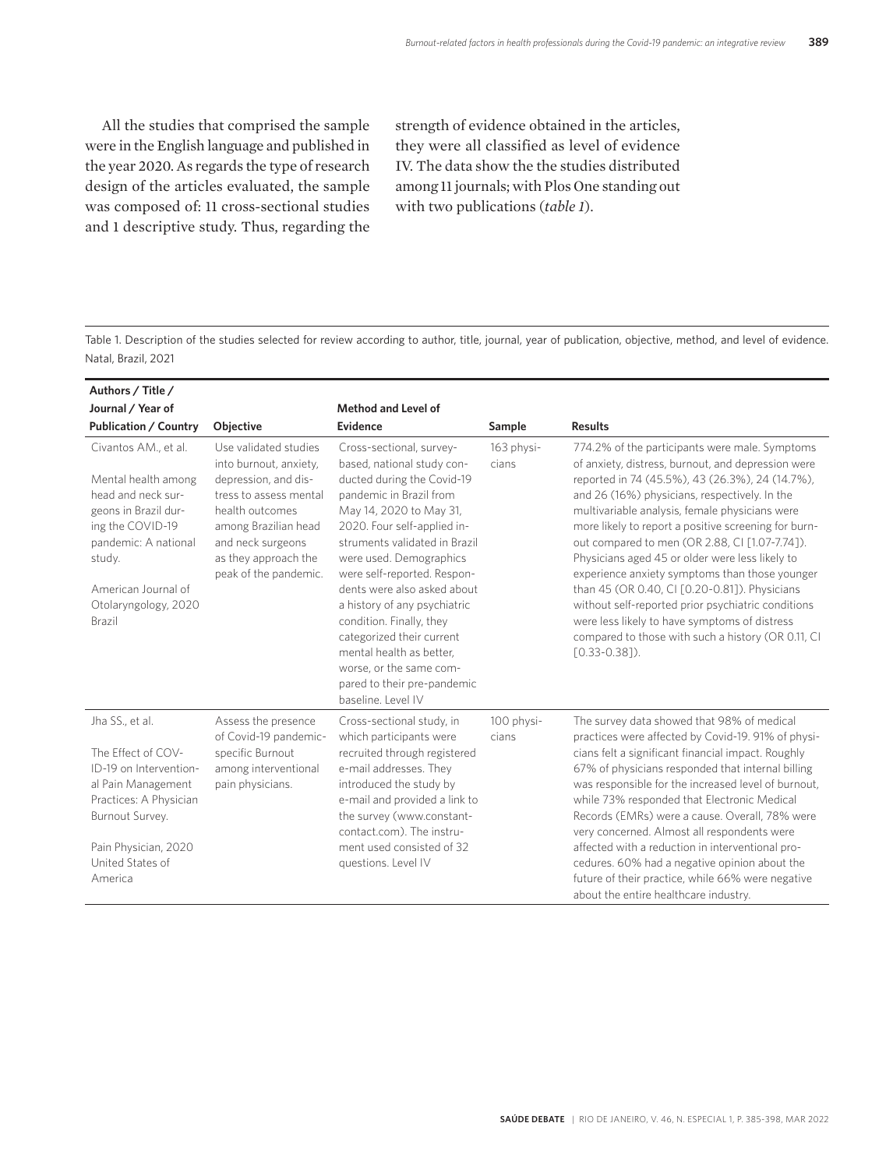All the studies that comprised the sample were in the English language and published in the year 2020. As regards the type of research design of the articles evaluated, the sample was composed of: 11 cross-sectional studies and 1 descriptive study. Thus, regarding the strength of evidence obtained in the articles, they were all classified as level of evidence IV. The data show the the studies distributed among 11 journals; with Plos One standing out with two publications (*table 1*).

Table 1. Description of the studies selected for review according to author, title, journal, year of publication, objective, method, and level of evidence. Natal, Brazil, 2021

| Authors / Title /                                                                                                                                                                                        |                                                                                                                                                                                                                    |                                                                                                                                                                                                                                                                                                                                                                                                                                                                                                          |                     |                                                                                                                                                                                                                                                                                                                                                                                                                                                                                                                                                                                                                                                                                                               |
|----------------------------------------------------------------------------------------------------------------------------------------------------------------------------------------------------------|--------------------------------------------------------------------------------------------------------------------------------------------------------------------------------------------------------------------|----------------------------------------------------------------------------------------------------------------------------------------------------------------------------------------------------------------------------------------------------------------------------------------------------------------------------------------------------------------------------------------------------------------------------------------------------------------------------------------------------------|---------------------|---------------------------------------------------------------------------------------------------------------------------------------------------------------------------------------------------------------------------------------------------------------------------------------------------------------------------------------------------------------------------------------------------------------------------------------------------------------------------------------------------------------------------------------------------------------------------------------------------------------------------------------------------------------------------------------------------------------|
| Journal / Year of                                                                                                                                                                                        |                                                                                                                                                                                                                    | <b>Method and Level of</b>                                                                                                                                                                                                                                                                                                                                                                                                                                                                               |                     |                                                                                                                                                                                                                                                                                                                                                                                                                                                                                                                                                                                                                                                                                                               |
| <b>Publication / Country</b>                                                                                                                                                                             | <b>Objective</b>                                                                                                                                                                                                   | Evidence                                                                                                                                                                                                                                                                                                                                                                                                                                                                                                 | Sample              | <b>Results</b>                                                                                                                                                                                                                                                                                                                                                                                                                                                                                                                                                                                                                                                                                                |
| Civantos AM., et al.<br>Mental health among<br>head and neck sur-<br>geons in Brazil dur-<br>ing the COVID-19<br>pandemic: A national<br>study.<br>American Journal of<br>Otolaryngology, 2020<br>Brazil | Use validated studies<br>into burnout, anxiety,<br>depression, and dis-<br>tress to assess mental<br>health outcomes<br>among Brazilian head<br>and neck surgeons<br>as they approach the<br>peak of the pandemic. | Cross-sectional, survey-<br>based, national study con-<br>ducted during the Covid-19<br>pandemic in Brazil from<br>May 14, 2020 to May 31,<br>2020. Four self-applied in-<br>struments validated in Brazil<br>were used. Demographics<br>were self-reported. Respon-<br>dents were also asked about<br>a history of any psychiatric<br>condition. Finally, they<br>categorized their current<br>mental health as better.<br>worse, or the same com-<br>pared to their pre-pandemic<br>baseline. Level IV | 163 physi-<br>cians | 774.2% of the participants were male. Symptoms<br>of anxiety, distress, burnout, and depression were<br>reported in 74 (45.5%), 43 (26.3%), 24 (14.7%),<br>and 26 (16%) physicians, respectively. In the<br>multivariable analysis, female physicians were<br>more likely to report a positive screening for burn-<br>out compared to men (OR 2.88, CI [1.07-7.74]).<br>Physicians aged 45 or older were less likely to<br>experience anxiety symptoms than those younger<br>than 45 (OR 0.40, CI [0.20-0.81]). Physicians<br>without self-reported prior psychiatric conditions<br>were less likely to have symptoms of distress<br>compared to those with such a history (OR 0.11, CI<br>$[0.33 - 0.38]$ ). |
| Jha SS., et al.<br>The Effect of COV-<br>ID-19 on Intervention-<br>al Pain Management<br>Practices: A Physician<br>Burnout Survey.<br>Pain Physician, 2020<br>United States of<br>America                | Assess the presence<br>of Covid-19 pandemic-<br>specific Burnout<br>among interventional<br>pain physicians.                                                                                                       | Cross-sectional study, in<br>which participants were<br>recruited through registered<br>e-mail addresses. They<br>introduced the study by<br>e-mail and provided a link to<br>the survey (www.constant-<br>contact.com). The instru-<br>ment used consisted of 32<br>questions. Level IV                                                                                                                                                                                                                 | 100 physi-<br>cians | The survey data showed that 98% of medical<br>practices were affected by Covid-19. 91% of physi-<br>cians felt a significant financial impact. Roughly<br>67% of physicians responded that internal billing<br>was responsible for the increased level of burnout,<br>while 73% responded that Electronic Medical<br>Records (EMRs) were a cause. Overall, 78% were<br>very concerned. Almost all respondents were<br>affected with a reduction in interventional pro-<br>cedures. 60% had a negative opinion about the<br>future of their practice, while 66% were negative<br>about the entire healthcare industry.                                                                                         |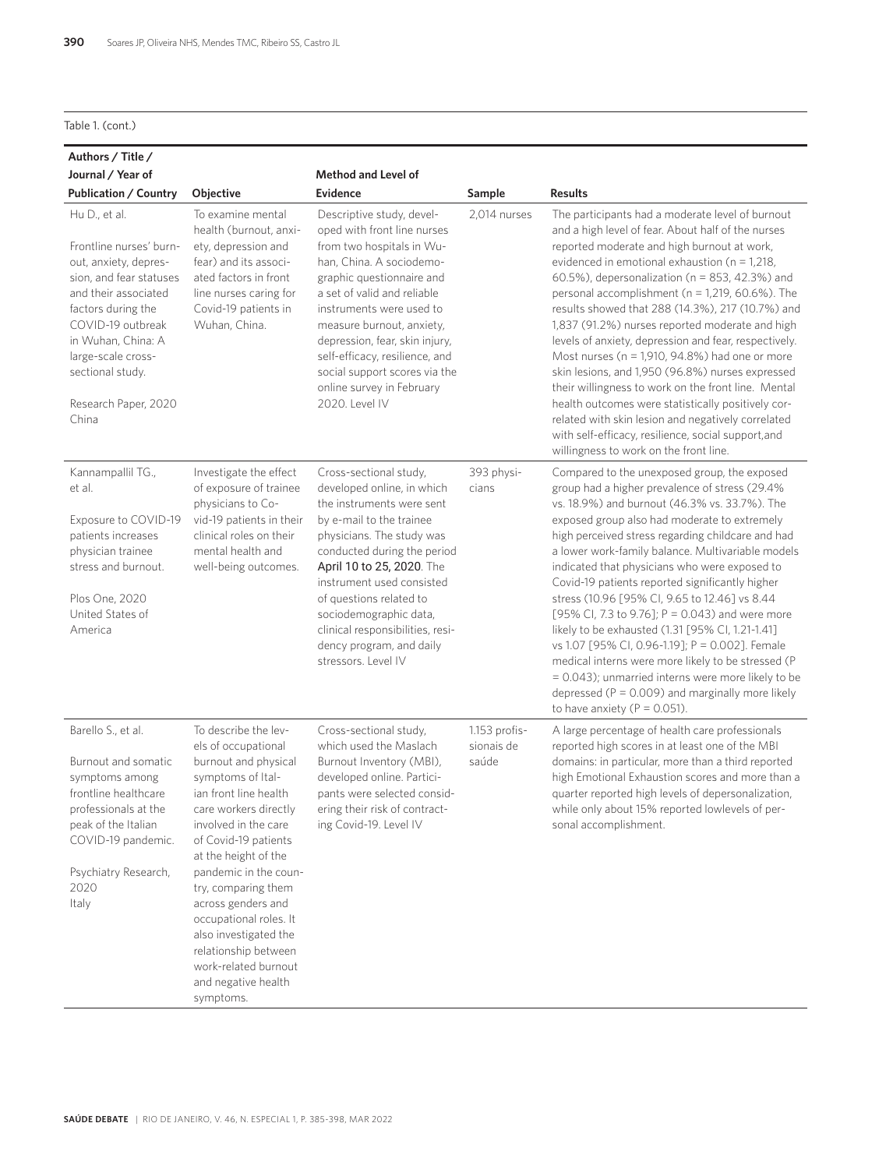#### Table 1. (cont.)

| Authors / Title /                                                                                                                                                                                                                                                |                                                                                                                                                                                                                                                                                                                                                                                                                                 |                                                                                                                                                                                                                                                                                                                                                                                            |                                      |                                                                                                                                                                                                                                                                                                                                                                                                                                                                                                                                                                                                                                                                                                                                                                                                                                                                    |
|------------------------------------------------------------------------------------------------------------------------------------------------------------------------------------------------------------------------------------------------------------------|---------------------------------------------------------------------------------------------------------------------------------------------------------------------------------------------------------------------------------------------------------------------------------------------------------------------------------------------------------------------------------------------------------------------------------|--------------------------------------------------------------------------------------------------------------------------------------------------------------------------------------------------------------------------------------------------------------------------------------------------------------------------------------------------------------------------------------------|--------------------------------------|--------------------------------------------------------------------------------------------------------------------------------------------------------------------------------------------------------------------------------------------------------------------------------------------------------------------------------------------------------------------------------------------------------------------------------------------------------------------------------------------------------------------------------------------------------------------------------------------------------------------------------------------------------------------------------------------------------------------------------------------------------------------------------------------------------------------------------------------------------------------|
| Journal / Year of                                                                                                                                                                                                                                                |                                                                                                                                                                                                                                                                                                                                                                                                                                 | <b>Method and Level of</b>                                                                                                                                                                                                                                                                                                                                                                 |                                      |                                                                                                                                                                                                                                                                                                                                                                                                                                                                                                                                                                                                                                                                                                                                                                                                                                                                    |
| <b>Publication / Country</b>                                                                                                                                                                                                                                     | Objective                                                                                                                                                                                                                                                                                                                                                                                                                       | <b>Evidence</b>                                                                                                                                                                                                                                                                                                                                                                            | Sample                               | <b>Results</b>                                                                                                                                                                                                                                                                                                                                                                                                                                                                                                                                                                                                                                                                                                                                                                                                                                                     |
| Hu D., et al.<br>Frontline nurses' burn-<br>out, anxiety, depres-<br>sion, and fear statuses<br>and their associated<br>factors during the<br>COVID-19 outbreak<br>in Wuhan, China: A<br>large-scale cross-<br>sectional study.<br>Research Paper, 2020<br>China | To examine mental<br>health (burnout, anxi-<br>ety, depression and<br>fear) and its associ-<br>ated factors in front<br>line nurses caring for<br>Covid-19 patients in<br>Wuhan, China.                                                                                                                                                                                                                                         | Descriptive study, devel-<br>oped with front line nurses<br>from two hospitals in Wu-<br>han. China. A sociodemo-<br>graphic questionnaire and<br>a set of valid and reliable<br>instruments were used to<br>measure burnout, anxiety,<br>depression, fear, skin injury,<br>self-efficacy, resilience, and<br>social support scores via the<br>online survey in February<br>2020. Level IV | 2,014 nurses                         | The participants had a moderate level of burnout<br>and a high level of fear. About half of the nurses<br>reported moderate and high burnout at work,<br>evidenced in emotional exhaustion ( $n = 1,218$ ,<br>60.5%), depersonalization (n = 853, 42.3%) and<br>personal accomplishment ( $n = 1,219,60.6\%$ ). The<br>results showed that 288 (14.3%), 217 (10.7%) and<br>1,837 (91.2%) nurses reported moderate and high<br>levels of anxiety, depression and fear, respectively.<br>Most nurses ( $n = 1,910, 94.8\%$ ) had one or more<br>skin lesions, and 1,950 (96.8%) nurses expressed<br>their willingness to work on the front line. Mental<br>health outcomes were statistically positively cor-<br>related with skin lesion and negatively correlated<br>with self-efficacy, resilience, social support, and<br>willingness to work on the front line. |
| Kannampallil TG.,<br>et al.<br>Exposure to COVID-19<br>patients increases<br>physician trainee<br>stress and burnout.<br>Plos One, 2020<br>United States of<br>America                                                                                           | Investigate the effect<br>of exposure of trainee<br>physicians to Co-<br>vid-19 patients in their<br>clinical roles on their<br>mental health and<br>well-being outcomes.                                                                                                                                                                                                                                                       | Cross-sectional study,<br>developed online, in which<br>the instruments were sent<br>by e-mail to the trainee<br>physicians. The study was<br>conducted during the period<br>April 10 to 25, 2020. The<br>instrument used consisted<br>of questions related to<br>sociodemographic data,<br>clinical responsibilities, resi-<br>dency program, and daily<br>stressors. Level IV            | 393 physi-<br>cians                  | Compared to the unexposed group, the exposed<br>group had a higher prevalence of stress (29.4%<br>vs. 18.9%) and burnout (46.3% vs. 33.7%). The<br>exposed group also had moderate to extremely<br>high perceived stress regarding childcare and had<br>a lower work-family balance. Multivariable models<br>indicated that physicians who were exposed to<br>Covid-19 patients reported significantly higher<br>stress (10.96 [95% CI, 9.65 to 12.46] vs 8.44<br>[95% Cl, 7.3 to 9.76]; $P = 0.043$ ) and were more<br>likely to be exhausted (1.31 [95% CI, 1.21-1.41]<br>vs 1.07 [95% CI, 0.96-1.19]; P = 0.002]. Female<br>medical interns were more likely to be stressed (P<br>= 0.043); unmarried interns were more likely to be<br>depressed ( $P = 0.009$ ) and marginally more likely<br>to have anxiety ( $P = 0.051$ ).                                |
| Barello S., et al.<br>Burnout and somatic<br>symptoms among<br>frontline healthcare<br>professionals at the<br>peak of the Italian<br>COVID-19 pandemic.<br>Psychiatry Research,<br>2020<br>Italy                                                                | To describe the lev-<br>els of occupational<br>burnout and physical<br>symptoms of Ital-<br>ian front line health<br>care workers directly<br>involved in the care<br>of Covid-19 patients<br>at the height of the<br>pandemic in the coun-<br>try, comparing them<br>across genders and<br>occupational roles. It<br>also investigated the<br>relationship between<br>work-related burnout<br>and negative health<br>symptoms. | Cross-sectional study,<br>which used the Maslach<br>Burnout Inventory (MBI),<br>developed online. Partici-<br>pants were selected consid-<br>ering their risk of contract-<br>ing Covid-19. Level IV                                                                                                                                                                                       | 1.153 profis-<br>sionais de<br>saúde | A large percentage of health care professionals<br>reported high scores in at least one of the MBI<br>domains: in particular, more than a third reported<br>high Emotional Exhaustion scores and more than a<br>quarter reported high levels of depersonalization,<br>while only about 15% reported lowlevels of per-<br>sonal accomplishment.                                                                                                                                                                                                                                                                                                                                                                                                                                                                                                                     |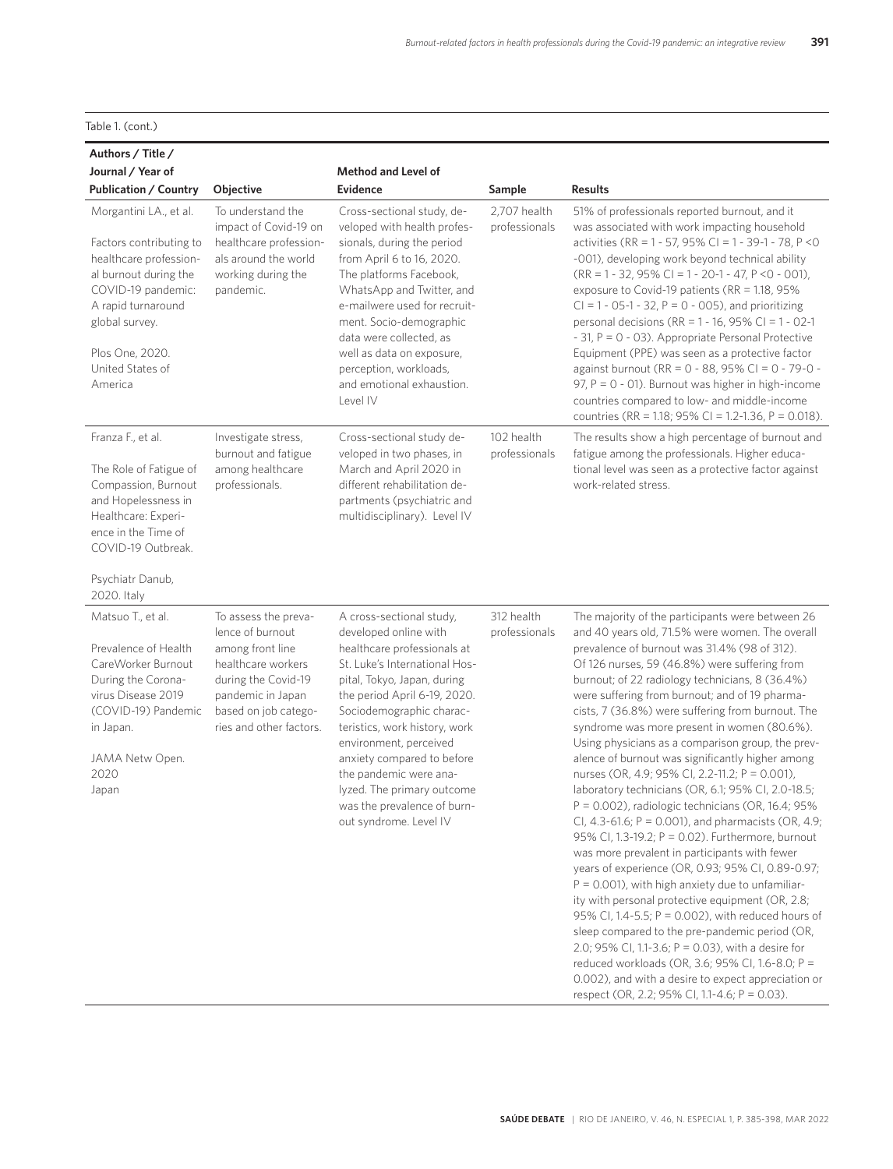|  | Table 1. (cont.) |
|--|------------------|
|  |                  |

| Authors / Title /                                                                                                                                                                                                    |                                                                                                                                                                                   |                                                                                                                                                                                                                                                                                                                                                                                                                        |                               |                                                                                                                                                                                                                                                                                                                                                                                                                                                                                                                                                                                                                                                                                                                                                                                                                                                                                                                                                                                                                                                                                                                                                                                                                                                                                                                                                 |
|----------------------------------------------------------------------------------------------------------------------------------------------------------------------------------------------------------------------|-----------------------------------------------------------------------------------------------------------------------------------------------------------------------------------|------------------------------------------------------------------------------------------------------------------------------------------------------------------------------------------------------------------------------------------------------------------------------------------------------------------------------------------------------------------------------------------------------------------------|-------------------------------|-------------------------------------------------------------------------------------------------------------------------------------------------------------------------------------------------------------------------------------------------------------------------------------------------------------------------------------------------------------------------------------------------------------------------------------------------------------------------------------------------------------------------------------------------------------------------------------------------------------------------------------------------------------------------------------------------------------------------------------------------------------------------------------------------------------------------------------------------------------------------------------------------------------------------------------------------------------------------------------------------------------------------------------------------------------------------------------------------------------------------------------------------------------------------------------------------------------------------------------------------------------------------------------------------------------------------------------------------|
| Journal / Year of                                                                                                                                                                                                    |                                                                                                                                                                                   | <b>Method and Level of</b>                                                                                                                                                                                                                                                                                                                                                                                             |                               |                                                                                                                                                                                                                                                                                                                                                                                                                                                                                                                                                                                                                                                                                                                                                                                                                                                                                                                                                                                                                                                                                                                                                                                                                                                                                                                                                 |
| <b>Publication / Country</b>                                                                                                                                                                                         | Objective                                                                                                                                                                         | <b>Evidence</b>                                                                                                                                                                                                                                                                                                                                                                                                        | Sample                        | <b>Results</b>                                                                                                                                                                                                                                                                                                                                                                                                                                                                                                                                                                                                                                                                                                                                                                                                                                                                                                                                                                                                                                                                                                                                                                                                                                                                                                                                  |
| Morgantini LA., et al.<br>Factors contributing to<br>healthcare profession-<br>al burnout during the<br>COVID-19 pandemic:<br>A rapid turnaround<br>global survey.<br>Plos One, 2020.<br>United States of<br>America | To understand the<br>impact of Covid-19 on<br>healthcare profession-<br>als around the world<br>working during the<br>pandemic.                                                   | Cross-sectional study, de-<br>veloped with health profes-<br>sionals, during the period<br>from April 6 to 16, 2020.<br>The platforms Facebook,<br>WhatsApp and Twitter, and<br>e-mailwere used for recruit-<br>ment. Socio-demographic<br>data were collected, as<br>well as data on exposure,<br>perception, workloads,<br>and emotional exhaustion.<br>Level IV                                                     | 2,707 health<br>professionals | 51% of professionals reported burnout, and it<br>was associated with work impacting household<br>activities (RR = 1 - 57, 95% CI = 1 - 39-1 - 78, P < 0<br>-001), developing work beyond technical ability<br>$(RR = 1 - 32, 95\% C = 1 - 20 - 1 - 47, P < 0 - 001),$<br>exposure to Covid-19 patients (RR = 1.18, 95%<br>$Cl = 1 - 05 - 1 - 32$ , $P = 0 - 005$ ), and prioritizing<br>personal decisions (RR = 1 - 16, 95% CI = 1 - 02-1<br>- 31, $P = 0 - 03$ ). Appropriate Personal Protective<br>Equipment (PPE) was seen as a protective factor<br>against burnout (RR = 0 - 88, 95% CI = 0 - 79-0 -<br>97, $P = 0 - 01$ ). Burnout was higher in high-income<br>countries compared to low- and middle-income<br>countries (RR = 1.18; 95% CI = 1.2-1.36, P = 0.018).                                                                                                                                                                                                                                                                                                                                                                                                                                                                                                                                                                    |
| Franza F., et al.<br>The Role of Fatigue of<br>Compassion, Burnout<br>and Hopelessness in<br>Healthcare: Experi-<br>ence in the Time of<br>COVID-19 Outbreak.<br>Psychiatr Danub,<br>2020. Italy                     | Investigate stress,<br>burnout and fatigue<br>among healthcare<br>professionals.                                                                                                  | Cross-sectional study de-<br>veloped in two phases, in<br>March and April 2020 in<br>different rehabilitation de-<br>partments (psychiatric and<br>multidisciplinary). Level IV                                                                                                                                                                                                                                        | 102 health<br>professionals   | The results show a high percentage of burnout and<br>fatigue among the professionals. Higher educa-<br>tional level was seen as a protective factor against<br>work-related stress.                                                                                                                                                                                                                                                                                                                                                                                                                                                                                                                                                                                                                                                                                                                                                                                                                                                                                                                                                                                                                                                                                                                                                             |
| Matsuo T., et al.<br>Prevalence of Health<br>CareWorker Burnout<br>During the Corona-<br>virus Disease 2019<br>(COVID-19) Pandemic<br>in Japan.<br>JAMA Netw Open.<br>2020<br>Japan                                  | To assess the preva-<br>lence of burnout<br>among front line<br>healthcare workers<br>during the Covid-19<br>pandemic in Japan<br>based on job catego-<br>ries and other factors. | A cross-sectional study,<br>developed online with<br>healthcare professionals at<br>St. Luke's International Hos-<br>pital, Tokyo, Japan, during<br>the period April 6-19, 2020.<br>Sociodemographic charac-<br>teristics, work history, work<br>environment, perceived<br>anxiety compared to before<br>the pandemic were ana-<br>lyzed. The primary outcome<br>was the prevalence of burn-<br>out syndrome. Level IV | 312 health<br>professionals   | The majority of the participants were between 26<br>and 40 years old, 71.5% were women. The overall<br>prevalence of burnout was 31.4% (98 of 312).<br>Of 126 nurses, 59 (46.8%) were suffering from<br>burnout; of 22 radiology technicians, 8 (36.4%)<br>were suffering from burnout; and of 19 pharma-<br>cists, 7 (36.8%) were suffering from burnout. The<br>syndrome was more present in women (80.6%).<br>Using physicians as a comparison group, the prev-<br>alence of burnout was significantly higher among<br>nurses (OR, 4.9; 95% CI, 2.2-11.2; P = 0.001),<br>laboratory technicians (OR, 6.1; 95% CI, 2.0-18.5;<br>P = 0.002), radiologic technicians (OR, 16.4; 95%<br>CI, 4.3-61.6; $P = 0.001$ ), and pharmacists (OR, 4.9;<br>95% CI, 1.3-19.2; P = 0.02). Furthermore, burnout<br>was more prevalent in participants with fewer<br>years of experience (OR, 0.93; 95% CI, 0.89-0.97;<br>$P = 0.001$ , with high anxiety due to unfamiliar-<br>ity with personal protective equipment (OR, 2.8;<br>95% CI, 1.4-5.5; P = 0.002), with reduced hours of<br>sleep compared to the pre-pandemic period (OR,<br>2.0; 95% CI, 1.1-3.6; $P = 0.03$ ), with a desire for<br>reduced workloads (OR, 3.6; 95% CI, 1.6-8.0; P =<br>0.002), and with a desire to expect appreciation or<br>respect (OR, 2.2; 95% CI, 1.1-4.6; P = 0.03). |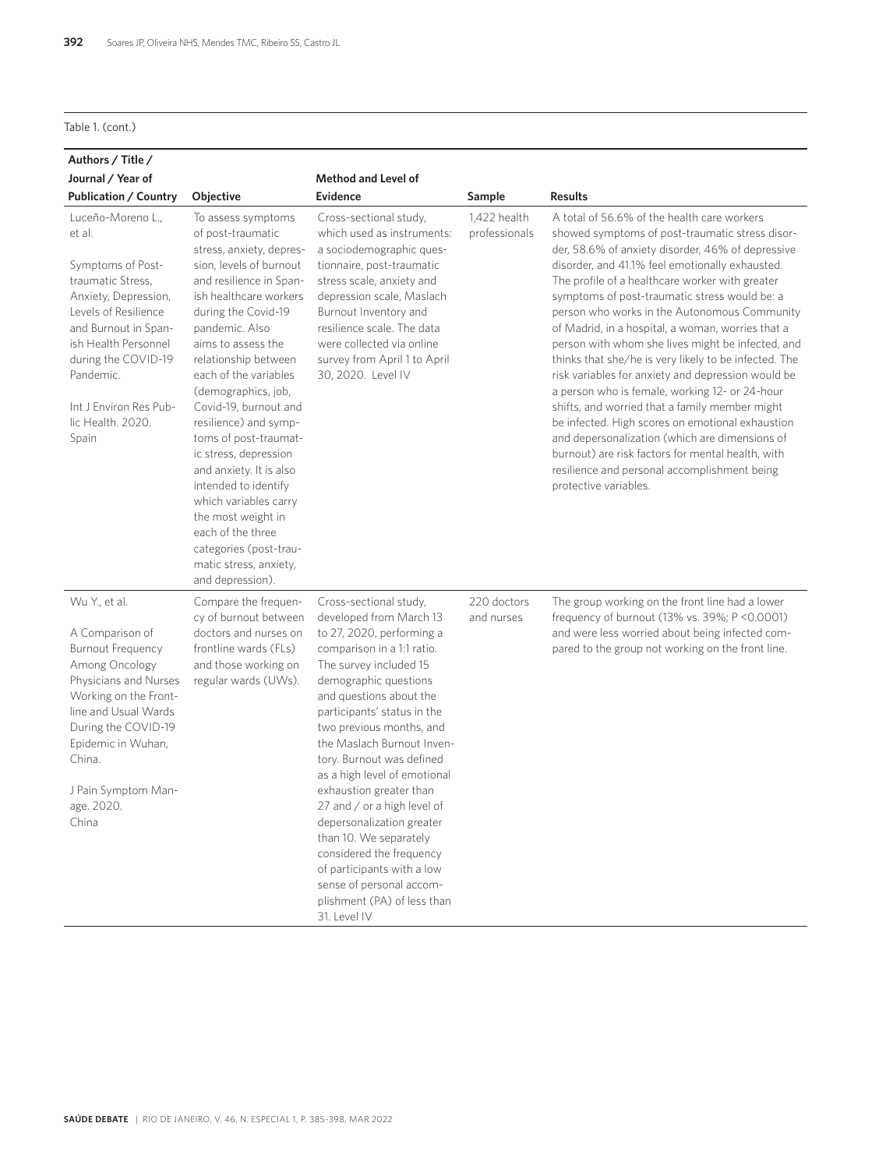#### Table 1. (cont.)

| Authors / Title /<br>Journal / Year of<br>Publication / Country                                                                                                                                                                                                   | <b>Objective</b>                                                                                                                                                                                                                                                                                                                                                                                                                                                                                                                                                                              | <b>Method and Level of</b><br><b>Evidence</b>                                                                                                                                                                                                                                                                                                                                                                                                                                                                                                                                                          | Sample                        | <b>Results</b>                                                                                                                                                                                                                                                                                                                                                                                                                                                                                                                                                                                                                                                                                                                                                                                                                                                                                                              |
|-------------------------------------------------------------------------------------------------------------------------------------------------------------------------------------------------------------------------------------------------------------------|-----------------------------------------------------------------------------------------------------------------------------------------------------------------------------------------------------------------------------------------------------------------------------------------------------------------------------------------------------------------------------------------------------------------------------------------------------------------------------------------------------------------------------------------------------------------------------------------------|--------------------------------------------------------------------------------------------------------------------------------------------------------------------------------------------------------------------------------------------------------------------------------------------------------------------------------------------------------------------------------------------------------------------------------------------------------------------------------------------------------------------------------------------------------------------------------------------------------|-------------------------------|-----------------------------------------------------------------------------------------------------------------------------------------------------------------------------------------------------------------------------------------------------------------------------------------------------------------------------------------------------------------------------------------------------------------------------------------------------------------------------------------------------------------------------------------------------------------------------------------------------------------------------------------------------------------------------------------------------------------------------------------------------------------------------------------------------------------------------------------------------------------------------------------------------------------------------|
| Luceño-Moreno L.,<br>et al.<br>Symptoms of Post-<br>traumatic Stress,<br>Anxiety, Depression,<br>Levels of Resilience<br>and Burnout in Span-<br>ish Health Personnel<br>during the COVID-19<br>Pandemic.<br>Int J Environ Res Pub-<br>lic Health. 2020.<br>Spain | To assess symptoms<br>of post-traumatic<br>stress, anxiety, depres-<br>sion, levels of burnout<br>and resilience in Span-<br>ish healthcare workers<br>during the Covid-19<br>pandemic. Also<br>aims to assess the<br>relationship between<br>each of the variables<br>(demographics, job,<br>Covid-19, burnout and<br>resilience) and symp-<br>toms of post-traumat-<br>ic stress, depression<br>and anxiety. It is also<br>intended to identify<br>which variables carry<br>the most weight in<br>each of the three<br>categories (post-trau-<br>matic stress, anxiety,<br>and depression). | Cross-sectional study,<br>which used as instruments:<br>a sociodemographic ques-<br>tionnaire, post-traumatic<br>stress scale, anxiety and<br>depression scale, Maslach<br>Burnout Inventory and<br>resilience scale. The data<br>were collected via online<br>survey from April 1 to April<br>30, 2020. Level IV                                                                                                                                                                                                                                                                                      | 1,422 health<br>professionals | A total of 56.6% of the health care workers<br>showed symptoms of post-traumatic stress disor-<br>der, 58.6% of anxiety disorder, 46% of depressive<br>disorder, and 41.1% feel emotionally exhausted.<br>The profile of a healthcare worker with greater<br>symptoms of post-traumatic stress would be: a<br>person who works in the Autonomous Community<br>of Madrid, in a hospital, a woman, worries that a<br>person with whom she lives might be infected, and<br>thinks that she/he is very likely to be infected. The<br>risk variables for anxiety and depression would be<br>a person who is female, working 12- or 24-hour<br>shifts, and worried that a family member might<br>be infected. High scores on emotional exhaustion<br>and depersonalization (which are dimensions of<br>burnout) are risk factors for mental health, with<br>resilience and personal accomplishment being<br>protective variables. |
| Wu Y., et al.<br>A Comparison of<br><b>Burnout Frequency</b><br>Among Oncology<br>Physicians and Nurses<br>Working on the Front-<br>line and Usual Wards<br>During the COVID-19<br>Epidemic in Wuhan,<br>China.<br>J Pain Symptom Man-<br>age. 2020.<br>China     | Compare the frequen-<br>cy of burnout between<br>doctors and nurses on<br>frontline wards (FLs)<br>and those working on<br>regular wards (UWs).                                                                                                                                                                                                                                                                                                                                                                                                                                               | Cross-sectional study,<br>developed from March 13<br>to 27, 2020, performing a<br>comparison in a 1:1 ratio.<br>The survey included 15<br>demographic questions<br>and questions about the<br>participants' status in the<br>two previous months, and<br>the Maslach Burnout Inven-<br>tory. Burnout was defined<br>as a high level of emotional<br>exhaustion greater than<br>27 and / or a high level of<br>depersonalization greater<br>than 10. We separately<br>considered the frequency<br>of participants with a low<br>sense of personal accom-<br>plishment (PA) of less than<br>31. Level IV | 220 doctors<br>and nurses     | The group working on the front line had a lower<br>frequency of burnout (13% vs. 39%; P < 0.0001)<br>and were less worried about being infected com-<br>pared to the group not working on the front line.                                                                                                                                                                                                                                                                                                                                                                                                                                                                                                                                                                                                                                                                                                                   |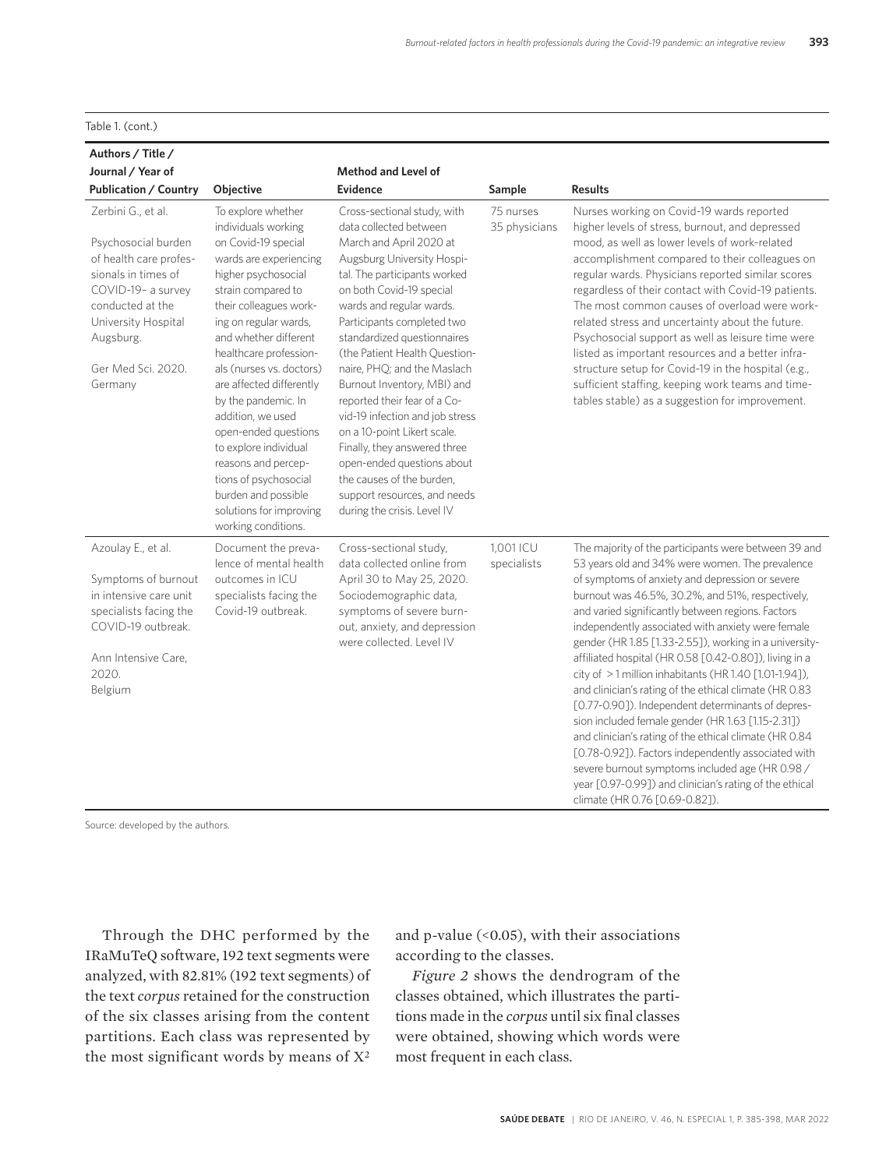Table 1. (cont.)

| Authors / Title /                                                                                                                                                                                         |                                                                                                                                                                                                                                                                                                                                                                                                                                                                                                                             |                                                                                                                                                                                                                                                                                                                                                                                                                                                                                                                                                                                                                                |                            |                                                                                                                                                                                                                                                                                                                                                                                                                                                                                                                                                                                                                                                                                                                                                                                                                                                                                                                                            |
|-----------------------------------------------------------------------------------------------------------------------------------------------------------------------------------------------------------|-----------------------------------------------------------------------------------------------------------------------------------------------------------------------------------------------------------------------------------------------------------------------------------------------------------------------------------------------------------------------------------------------------------------------------------------------------------------------------------------------------------------------------|--------------------------------------------------------------------------------------------------------------------------------------------------------------------------------------------------------------------------------------------------------------------------------------------------------------------------------------------------------------------------------------------------------------------------------------------------------------------------------------------------------------------------------------------------------------------------------------------------------------------------------|----------------------------|--------------------------------------------------------------------------------------------------------------------------------------------------------------------------------------------------------------------------------------------------------------------------------------------------------------------------------------------------------------------------------------------------------------------------------------------------------------------------------------------------------------------------------------------------------------------------------------------------------------------------------------------------------------------------------------------------------------------------------------------------------------------------------------------------------------------------------------------------------------------------------------------------------------------------------------------|
| Journal / Year of                                                                                                                                                                                         |                                                                                                                                                                                                                                                                                                                                                                                                                                                                                                                             | <b>Method and Level of</b>                                                                                                                                                                                                                                                                                                                                                                                                                                                                                                                                                                                                     |                            |                                                                                                                                                                                                                                                                                                                                                                                                                                                                                                                                                                                                                                                                                                                                                                                                                                                                                                                                            |
| <b>Publication / Country</b>                                                                                                                                                                              | Objective                                                                                                                                                                                                                                                                                                                                                                                                                                                                                                                   | <b>Evidence</b>                                                                                                                                                                                                                                                                                                                                                                                                                                                                                                                                                                                                                | Sample                     | <b>Results</b>                                                                                                                                                                                                                                                                                                                                                                                                                                                                                                                                                                                                                                                                                                                                                                                                                                                                                                                             |
| Zerbini G., et al.<br>Psychosocial burden<br>of health care profes-<br>sionals in times of<br>COVID-19- a survey<br>conducted at the<br>University Hospital<br>Augsburg.<br>Ger Med Sci. 2020.<br>Germany | To explore whether<br>individuals working<br>on Covid-19 special<br>wards are experiencing<br>higher psychosocial<br>strain compared to<br>their colleagues work-<br>ing on regular wards,<br>and whether different<br>healthcare profession-<br>als (nurses vs. doctors)<br>are affected differently<br>by the pandemic. In<br>addition, we used<br>open-ended questions<br>to explore individual<br>reasons and percep-<br>tions of psychosocial<br>burden and possible<br>solutions for improving<br>working conditions. | Cross-sectional study, with<br>data collected between<br>March and April 2020 at<br>Augsburg University Hospi-<br>tal. The participants worked<br>on both Covid-19 special<br>wards and regular wards.<br>Participants completed two<br>standardized questionnaires<br>(the Patient Health Ouestion-<br>naire, PHQ; and the Maslach<br>Burnout Inventory, MBI) and<br>reported their fear of a Co-<br>vid-19 infection and job stress<br>on a 10-point Likert scale.<br>Finally, they answered three<br>open-ended questions about<br>the causes of the burden,<br>support resources, and needs<br>during the crisis. Level IV | 75 nurses<br>35 physicians | Nurses working on Covid-19 wards reported<br>higher levels of stress, burnout, and depressed<br>mood, as well as lower levels of work-related<br>accomplishment compared to their colleagues on<br>regular wards. Physicians reported similar scores<br>regardless of their contact with Covid-19 patients.<br>The most common causes of overload were work-<br>related stress and uncertainty about the future.<br>Psychosocial support as well as leisure time were<br>listed as important resources and a better infra-<br>structure setup for Covid-19 in the hospital (e.g.,<br>sufficient staffing, keeping work teams and time-<br>tables stable) as a suggestion for improvement.                                                                                                                                                                                                                                                  |
| Azoulay E., et al.<br>Symptoms of burnout<br>in intensive care unit<br>specialists facing the<br>COVID-19 outbreak.<br>Ann Intensive Care,<br>2020.<br>Belgium                                            | Document the preva-<br>lence of mental health<br>outcomes in ICU<br>specialists facing the<br>Covid-19 outbreak.                                                                                                                                                                                                                                                                                                                                                                                                            | Cross-sectional study,<br>data collected online from<br>April 30 to May 25, 2020.<br>Sociodemographic data,<br>symptoms of severe burn-<br>out, anxiety, and depression<br>were collected. Level IV                                                                                                                                                                                                                                                                                                                                                                                                                            | 1.001 ICU<br>specialists   | The majority of the participants were between 39 and<br>53 years old and 34% were women. The prevalence<br>of symptoms of anxiety and depression or severe<br>burnout was 46.5%, 30.2%, and 51%, respectively,<br>and varied significantly between regions. Factors<br>independently associated with anxiety were female<br>gender (HR 1.85 [1.33-2.55]), working in a university-<br>affiliated hospital (HR 0.58 [0.42-0.80]), living in a<br>city of >1 million inhabitants (HR 1.40 [1.01-1.94]),<br>and clinician's rating of the ethical climate (HR 0.83<br>[0.77-0.90]). Independent determinants of depres-<br>sion included female gender (HR 1.63 [1.15-2.31])<br>and clinician's rating of the ethical climate (HR 0.84<br>[0.78-0.92]). Factors independently associated with<br>severe burnout symptoms included age (HR 0.98 /<br>year [0.97-0.99]) and clinician's rating of the ethical<br>climate (HR 0.76 [0.69-0.82]). |

Source: developed by the authors.

Through the DHC performed by the IRaMuTeQ software, 192 text segments were analyzed, with 82.81% (192 text segments) of the text *corpus* retained for the construction of the six classes arising from the content partitions. Each class was represented by the most significant words by means of X2

and p-value  $($ <0.05 $)$ , with their associations according to the classes.

*Figure 2* shows the dendrogram of the classes obtained, which illustrates the partitions made in the *corpus* until six final classes were obtained, showing which words were most frequent in each class.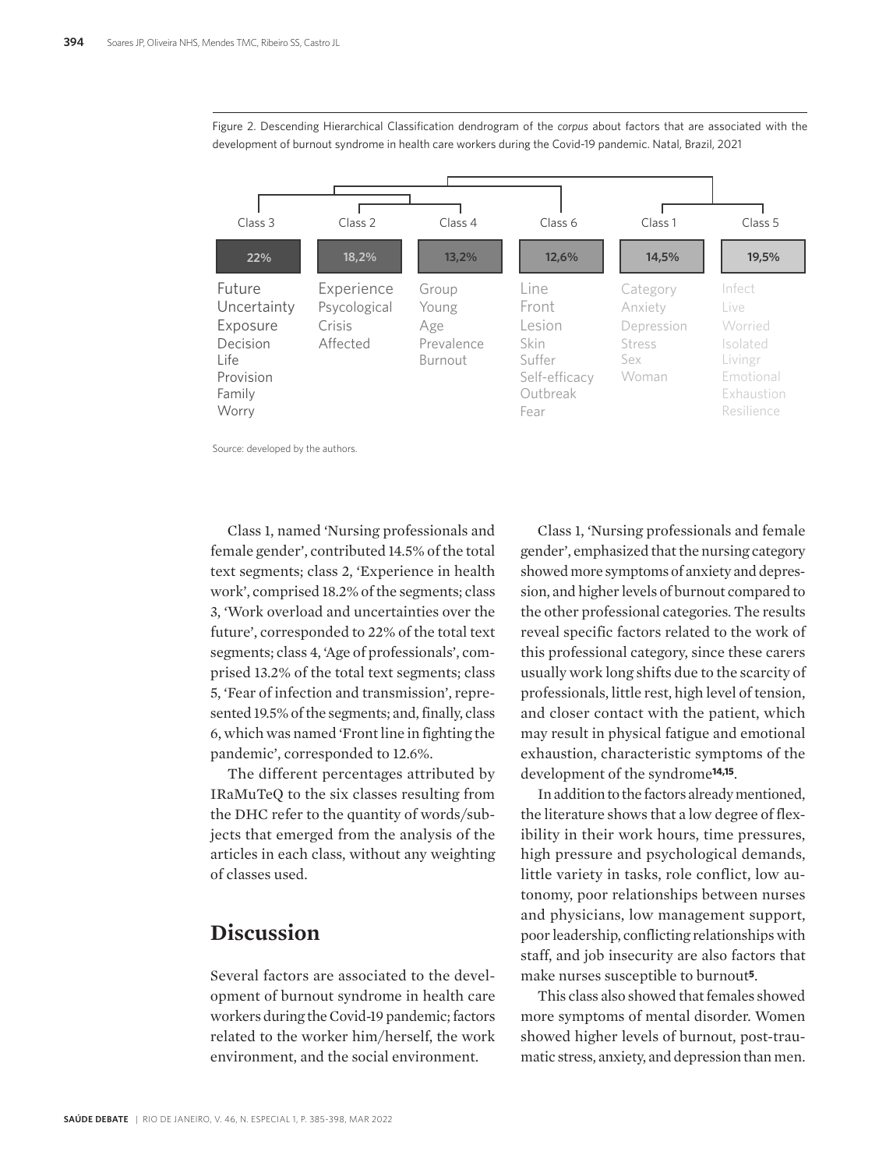

Figure 2. Descending Hierarchical Classification dendrogram of the *corpus* about factors that are associated with the development of burnout syndrome in health care workers during the Covid-19 pandemic. Natal, Brazil, 2021

Source: developed by the authors.

Class 1, named 'Nursing professionals and female gender', contributed 14.5% of the total text segments; class 2, 'Experience in health work', comprised 18.2% of the segments; class 3, 'Work overload and uncertainties over the future', corresponded to 22% of the total text segments; class 4, 'Age of professionals', comprised 13.2% of the total text segments; class 5, 'Fear of infection and transmission', represented 19.5% of the segments; and, finally, class 6, which was named 'Front line in fighting the pandemic', corresponded to 12.6%.

The different percentages attributed by IRaMuTeQ to the six classes resulting from the DHC refer to the quantity of words/subjects that emerged from the analysis of the articles in each class, without any weighting of classes used.

### **Discussion**

Several factors are associated to the development of burnout syndrome in health care workers during the Covid-19 pandemic; factors related to the worker him/herself, the work environment, and the social environment.

Class 1, 'Nursing professionals and female gender', emphasized that the nursing category showed more symptoms of anxiety and depression, and higher levels of burnout compared to the other professional categories. The results reveal specific factors related to the work of this professional category, since these carers usually work long shifts due to the scarcity of professionals, little rest, high level of tension, and closer contact with the patient, which may result in physical fatigue and emotional exhaustion, characteristic symptoms of the development of the syndrome**14,15**.

In addition to the factors already mentioned, the literature shows that a low degree of flexibility in their work hours, time pressures, high pressure and psychological demands, little variety in tasks, role conflict, low autonomy, poor relationships between nurses and physicians, low management support, poor leadership, conflicting relationships with staff, and job insecurity are also factors that make nurses susceptible to burnout**5**.

This class also showed that females showed more symptoms of mental disorder. Women showed higher levels of burnout, post-traumatic stress, anxiety, and depression than men.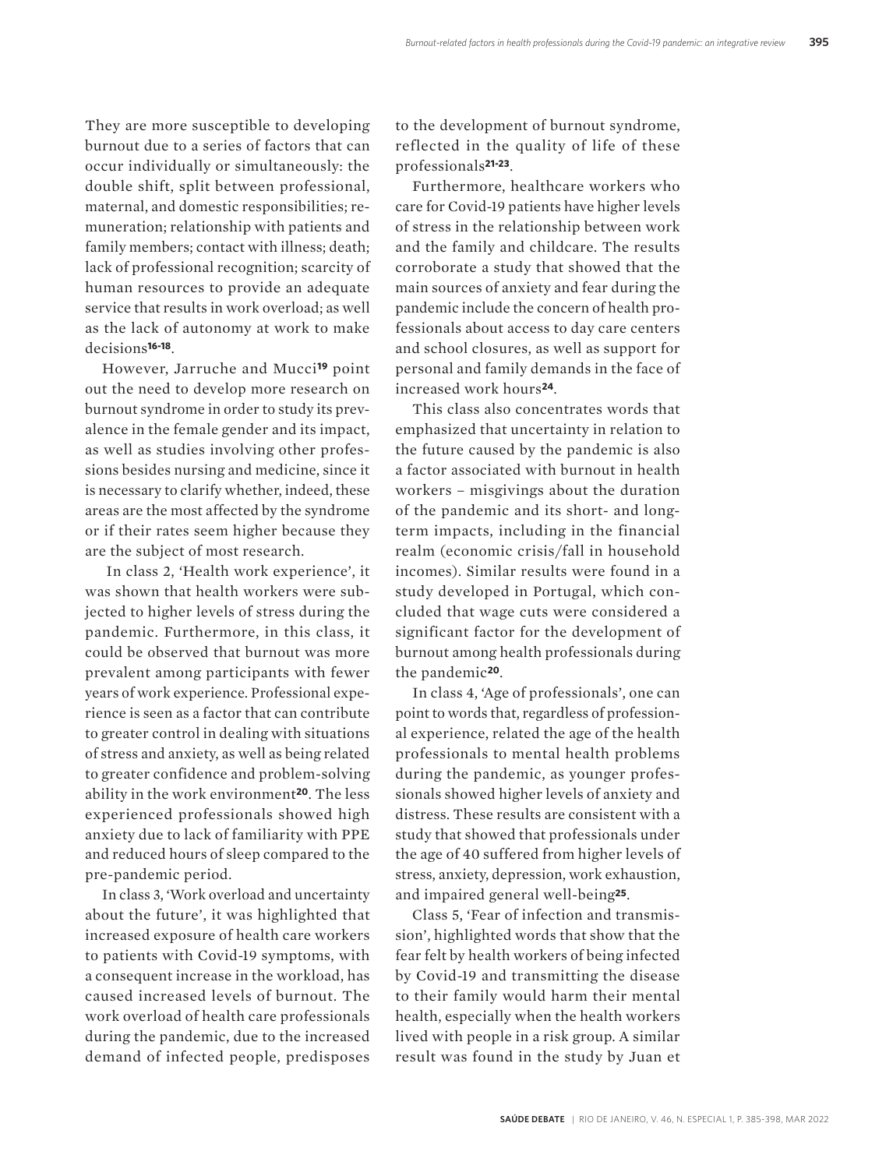They are more susceptible to developing burnout due to a series of factors that can occur individually or simultaneously: the double shift, split between professional, maternal, and domestic responsibilities; remuneration; relationship with patients and family members; contact with illness; death; lack of professional recognition; scarcity of human resources to provide an adequate service that results in work overload; as well as the lack of autonomy at work to make decisions**16-18**.

However, Jarruche and Mucci**19** point out the need to develop more research on burnout syndrome in order to study its prevalence in the female gender and its impact, as well as studies involving other professions besides nursing and medicine, since it is necessary to clarify whether, indeed, these areas are the most affected by the syndrome or if their rates seem higher because they are the subject of most research.

 In class 2, 'Health work experience', it was shown that health workers were subjected to higher levels of stress during the pandemic. Furthermore, in this class, it could be observed that burnout was more prevalent among participants with fewer years of work experience. Professional experience is seen as a factor that can contribute to greater control in dealing with situations of stress and anxiety, as well as being related to greater confidence and problem-solving ability in the work environment**20**. The less experienced professionals showed high anxiety due to lack of familiarity with PPE and reduced hours of sleep compared to the pre-pandemic period.

In class 3, 'Work overload and uncertainty about the future', it was highlighted that increased exposure of health care workers to patients with Covid-19 symptoms, with a consequent increase in the workload, has caused increased levels of burnout. The work overload of health care professionals during the pandemic, due to the increased demand of infected people, predisposes

to the development of burnout syndrome, reflected in the quality of life of these professionals**21-23**.

Furthermore, healthcare workers who care for Covid-19 patients have higher levels of stress in the relationship between work and the family and childcare. The results corroborate a study that showed that the main sources of anxiety and fear during the pandemic include the concern of health professionals about access to day care centers and school closures, as well as support for personal and family demands in the face of increased work hours**24**.

This class also concentrates words that emphasized that uncertainty in relation to the future caused by the pandemic is also a factor associated with burnout in health workers – misgivings about the duration of the pandemic and its short- and longterm impacts, including in the financial realm (economic crisis/fall in household incomes). Similar results were found in a study developed in Portugal, which concluded that wage cuts were considered a significant factor for the development of burnout among health professionals during the pandemic**20**.

In class 4, 'Age of professionals', one can point to words that, regardless of professional experience, related the age of the health professionals to mental health problems during the pandemic, as younger professionals showed higher levels of anxiety and distress. These results are consistent with a study that showed that professionals under the age of 40 suffered from higher levels of stress, anxiety, depression, work exhaustion, and impaired general well-being**25**.

Class 5, 'Fear of infection and transmission', highlighted words that show that the fear felt by health workers of being infected by Covid-19 and transmitting the disease to their family would harm their mental health, especially when the health workers lived with people in a risk group. A similar result was found in the study by Juan et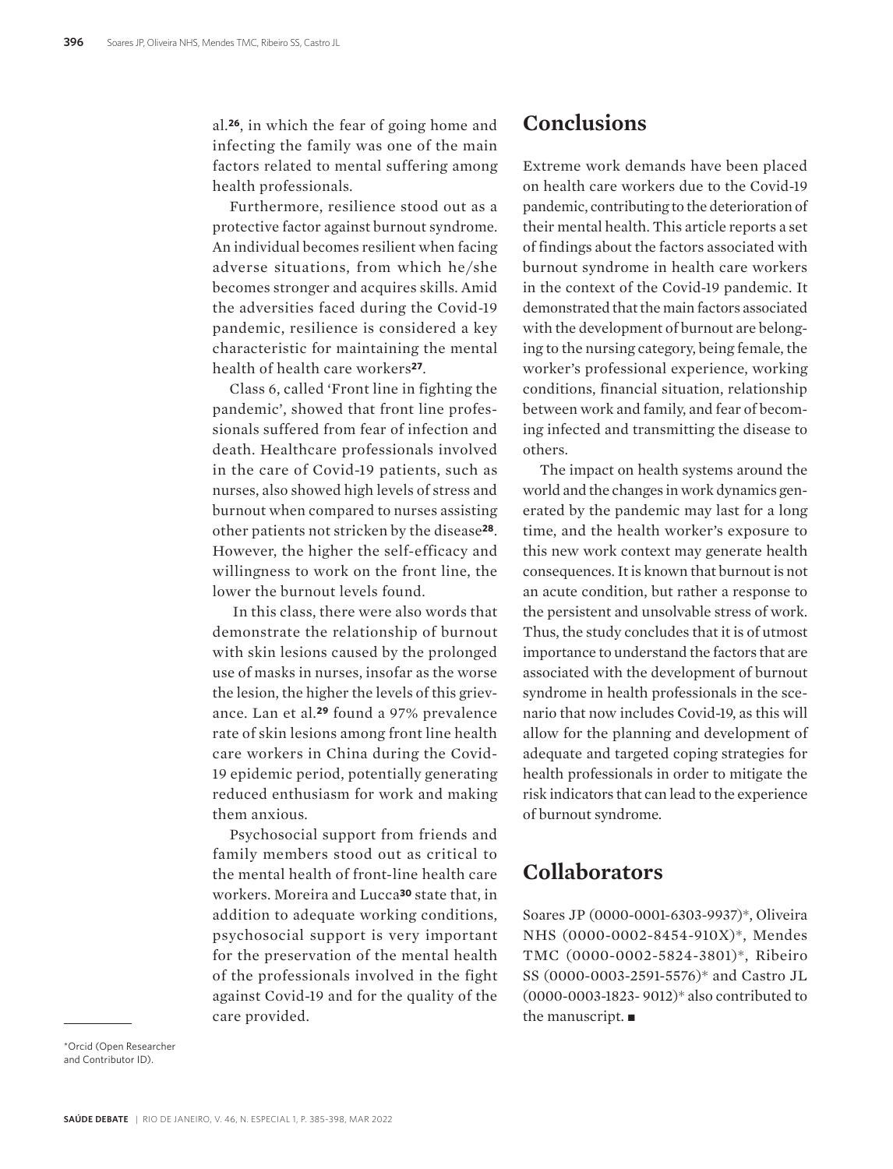al*.***26**, in which the fear of going home and infecting the family was one of the main factors related to mental suffering among health professionals.

Furthermore, resilience stood out as a protective factor against burnout syndrome. An individual becomes resilient when facing adverse situations, from which he/she becomes stronger and acquires skills. Amid the adversities faced during the Covid-19 pandemic, resilience is considered a key characteristic for maintaining the mental health of health care workers**27**.

Class 6, called 'Front line in fighting the pandemic', showed that front line professionals suffered from fear of infection and death. Healthcare professionals involved in the care of Covid-19 patients, such as nurses, also showed high levels of stress and burnout when compared to nurses assisting other patients not stricken by the disease**28**. However, the higher the self-efficacy and willingness to work on the front line, the lower the burnout levels found.

 In this class, there were also words that demonstrate the relationship of burnout with skin lesions caused by the prolonged use of masks in nurses, insofar as the worse the lesion, the higher the levels of this grievance. Lan et al*.***29** found a 97% prevalence rate of skin lesions among front line health care workers in China during the Covid-19 epidemic period, potentially generating reduced enthusiasm for work and making them anxious.

Psychosocial support from friends and family members stood out as critical to the mental health of front-line health care workers. Moreira and Lucca**30** state that, in addition to adequate working conditions, psychosocial support is very important for the preservation of the mental health of the professionals involved in the fight against Covid-19 and for the quality of the care provided.

### **Conclusions**

Extreme work demands have been placed on health care workers due to the Covid-19 pandemic, contributing to the deterioration of their mental health. This article reports a set of findings about the factors associated with burnout syndrome in health care workers in the context of the Covid-19 pandemic. It demonstrated that the main factors associated with the development of burnout are belonging to the nursing category, being female, the worker's professional experience, working conditions, financial situation, relationship between work and family, and fear of becoming infected and transmitting the disease to others.

The impact on health systems around the world and the changes in work dynamics generated by the pandemic may last for a long time, and the health worker's exposure to this new work context may generate health consequences. It is known that burnout is not an acute condition, but rather a response to the persistent and unsolvable stress of work. Thus, the study concludes that it is of utmost importance to understand the factors that are associated with the development of burnout syndrome in health professionals in the scenario that now includes Covid-19, as this will allow for the planning and development of adequate and targeted coping strategies for health professionals in order to mitigate the risk indicators that can lead to the experience of burnout syndrome.

# **Collaborators**

Soares JP (0000-0001-6303-9937)\*, Oliveira NHS (0000-0002-8454-910X)\*, Mendes TMC (0000-0002-5824-3801)\*, Ribeiro SS (0000-0003-2591-5576)\* and Castro JL (0000-0003-1823- 9012)\* also contributed to the manuscript.  $\blacksquare$ 

\*Orcid (Open Researcher and Contributor ID).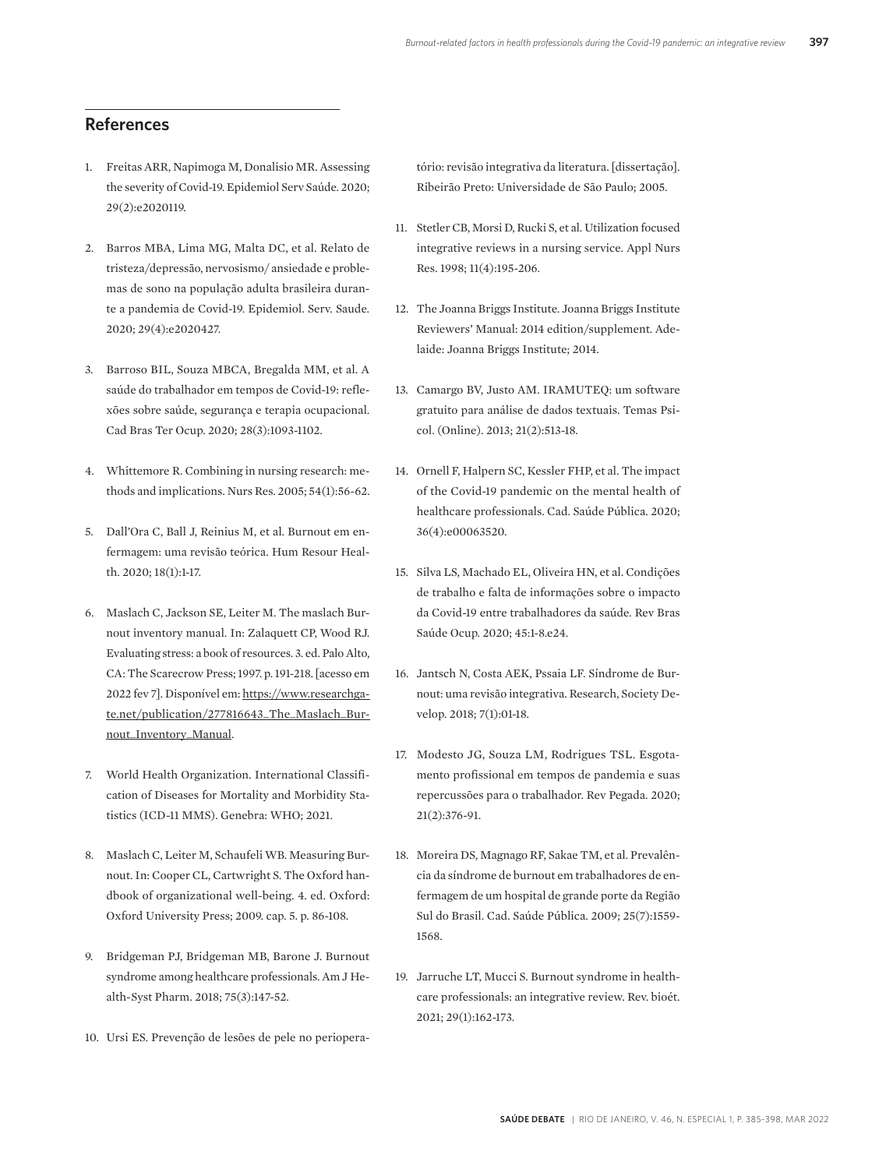### **References**

- 1. Freitas ARR, Napimoga M, Donalisio MR. Assessing the severity of Covid-19. Epidemiol Serv Saúde. 2020; 29(2):e2020119.
- 2. Barros MBA, Lima MG, Malta DC, et al. Relato de tristeza/depressão, nervosismo/ ansiedade e problemas de sono na população adulta brasileira durante a pandemia de Covid-19. Epidemiol. Serv. Saude. 2020; 29(4):e2020427.
- 3. Barroso BIL, Souza MBCA, Bregalda MM, et al. A saúde do trabalhador em tempos de Covid-19: reflexões sobre saúde, segurança e terapia ocupacional. Cad Bras Ter Ocup. 2020; 28(3):1093-1102.
- 4. Whittemore R. Combining in nursing research: methods and implications. Nurs Res. 2005; 54(1):56-62.
- 5. Dall'Ora C, Ball J, Reinius M, et al. Burnout em enfermagem: uma revisão teórica. Hum Resour Health. 2020; 18(1):1-17.
- 6. Maslach C, Jackson SE, Leiter M. The maslach Burnout inventory manual. In: Zalaquett CP, Wood RJ. Evaluating stress: a book of resources. 3. ed. Palo Alto, CA: The Scarecrow Press; 1997. p. 191-218. [acesso em 2022 fev 7]. Disponível em: https://www.researchgate.net/publication/277816643\_The\_Maslach\_Burnout\_Inventory\_Manual.
- 7. World Health Organization. International Classification of Diseases for Mortality and Morbidity Statistics (ICD-11 MMS). Genebra: WHO; 2021.
- 8. Maslach C, Leiter M, Schaufeli WB. Measuring Burnout. In: Cooper CL, Cartwright S. The Oxford handbook of organizational well-being. 4. ed. Oxford: Oxford University Press; 2009. cap. 5. p. 86-108.
- 9. Bridgeman PJ, Bridgeman MB, Barone J. Burnout syndrome among healthcare professionals. Am J Health-Syst Pharm. 2018; 75(3):147-52.
- 10. Ursi ES. Prevenção de lesões de pele no periopera-

tório: revisão integrativa da literatura. [dissertação]. Ribeirão Preto: Universidade de São Paulo; 2005.

- 11. Stetler CB, Morsi D, Rucki S, et al. Utilization focused integrative reviews in a nursing service. Appl Nurs Res. 1998; 11(4):195-206.
- 12. The Joanna Briggs Institute. Joanna Briggs Institute Reviewers' Manual: 2014 edition/supplement. Adelaide: Joanna Briggs Institute; 2014.
- 13. Camargo BV, Justo AM. IRAMUTEQ: um software gratuito para análise de dados textuais. Temas Psicol. (Online). 2013; 21(2):513-18.
- 14. Ornell F, Halpern SC, Kessler FHP, et al. The impact of the Covid-19 pandemic on the mental health of healthcare professionals. Cad. Saúde Pública. 2020; 36(4):e00063520.
- 15. Silva LS, Machado EL, Oliveira HN, et al. Condições de trabalho e falta de informações sobre o impacto da Covid-19 entre trabalhadores da saúde. Rev Bras Saúde Ocup. 2020; 45:1-8.e24.
- 16. Jantsch N, Costa AEK, Pssaia LF. Síndrome de Burnout: uma revisão integrativa. Research, Society Develop. 2018; 7(1):01-18.
- 17. Modesto JG, Souza LM, Rodrigues TSL. Esgotamento profissional em tempos de pandemia e suas repercussões para o trabalhador. Rev Pegada. 2020; 21(2):376-91.
- 18. Moreira DS, Magnago RF, Sakae TM, et al. Prevalência da síndrome de burnout em trabalhadores de enfermagem de um hospital de grande porte da Região Sul do Brasil. Cad. Saúde Pública. 2009; 25(7):1559- 1568.
- 19. Jarruche LT, Mucci S. Burnout syndrome in healthcare professionals: an integrative review. Rev. bioét. 2021; 29(1):162-173.